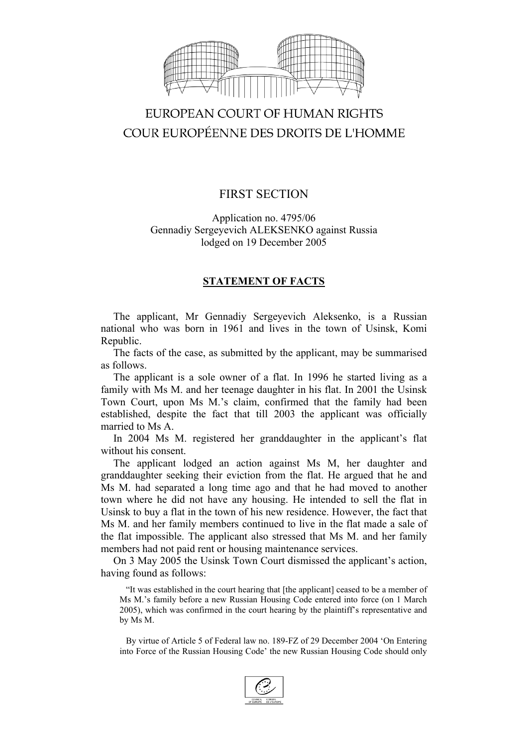

# EUROPEAN COURT OF HUMAN RIGHTS COUR EUROPÉENNE DES DROITS DE L'HOMME

## FIRST SECTION

Application no. 4795/06 Gennadiy Sergeyevich ALEKSENKO against Russia lodged on 19 December 2005

### **STATEMENT OF FACTS**

The applicant, Mr Gennadiy Sergeyevich Aleksenko, is a Russian national who was born in 1961 and lives in the town of Usinsk, Komi Republic.

The facts of the case, as submitted by the applicant, may be summarised as follows.

The applicant is a sole owner of a flat. In 1996 he started living as a family with Ms M. and her teenage daughter in his flat. In 2001 the Usinsk Town Court, upon Ms M.'s claim, confirmed that the family had been established, despite the fact that till 2003 the applicant was officially married to Ms A.

In 2004 Ms M. registered her granddaughter in the applicant's flat without his consent.

The applicant lodged an action against Ms M, her daughter and granddaughter seeking their eviction from the flat. He argued that he and Ms M. had separated a long time ago and that he had moved to another town where he did not have any housing. He intended to sell the flat in Usinsk to buy a flat in the town of his new residence. However, the fact that Ms M. and her family members continued to live in the flat made a sale of the flat impossible. The applicant also stressed that Ms M. and her family members had not paid rent or housing maintenance services.

On 3 May 2005 the Usinsk Town Court dismissed the applicant's action, having found as follows:

"It was established in the court hearing that [the applicant] ceased to be a member of Ms M.'s family before a new Russian Housing Code entered into force (on 1 March 2005), which was confirmed in the court hearing by the plaintiff's representative and by Ms M.

By virtue of Article 5 of Federal law no. 189-FZ of 29 December 2004 'On Entering into Force of the Russian Housing Code' the new Russian Housing Code should only